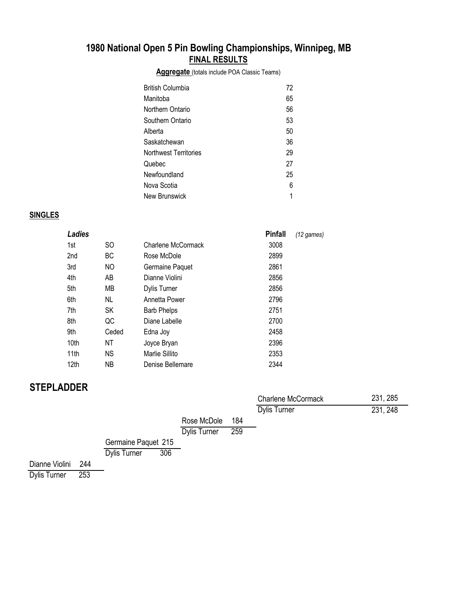### **1980 National Open 5 Pin Bowling Championships, Winnipeg, MB FINAL RESULTS**

**Aggregate** (totals include POA Classic Teams)

| British Columbia             | 72 |
|------------------------------|----|
| Manitoba                     | 65 |
| Northern Ontario             | 56 |
| Southern Ontario             | 53 |
| Alberta                      | 50 |
| Saskatchewan                 | 36 |
| <b>Northwest Territories</b> | 29 |
| Quebec                       | 27 |
| Newfoundland                 | 25 |
| Nova Scotia                  | 6  |
| New Brunswick                | 1  |

#### **SINGLES**

| Ladies           |       |                    | <b>Pinfall</b> | $(12$ games) |
|------------------|-------|--------------------|----------------|--------------|
| 1st              | SO.   | Charlene McCormack | 3008           |              |
| 2nd              | ВC    | Rose McDole        | 2899           |              |
| 3rd              | NO    | Germaine Paquet    | 2861           |              |
| 4th              | AB    | Dianne Violini     | 2856           |              |
| 5th              | MВ    | Dylis Turner       | 2856           |              |
| 6th              | NL    | Annetta Power      | 2796           |              |
| 7th              | SK    | <b>Barb Phelps</b> | 2751           |              |
| 8th              | QC    | Diane Labelle      | 2700           |              |
| 9th              | Ceded | Edna Joy           | 2458           |              |
| 10th             | ΝT    | Joyce Bryan        | 2396           |              |
| 11th             | NS.   | Marlie Sillito     | 2353           |              |
| 12 <sub>th</sub> | ΝB    | Denise Bellemare   | 2344           |              |

## **STEPLADDER**

|         |     |                            |                     |     | <b>Charlene McCormack</b> | 231, 285 |
|---------|-----|----------------------------|---------------------|-----|---------------------------|----------|
|         |     |                            |                     |     | <b>Dylis Turner</b>       | 231, 248 |
|         |     |                            | Rose McDole         | 184 |                           |          |
|         |     |                            | <b>Dylis Turner</b> | 259 |                           |          |
|         |     | Germaine Paquet 215        |                     |     |                           |          |
|         |     | 306<br><b>Dylis Turner</b> |                     |     |                           |          |
| Violini | 244 |                            |                     |     |                           |          |

Dianne Violini 244<br>Dylis Turner 253 Dylis Turner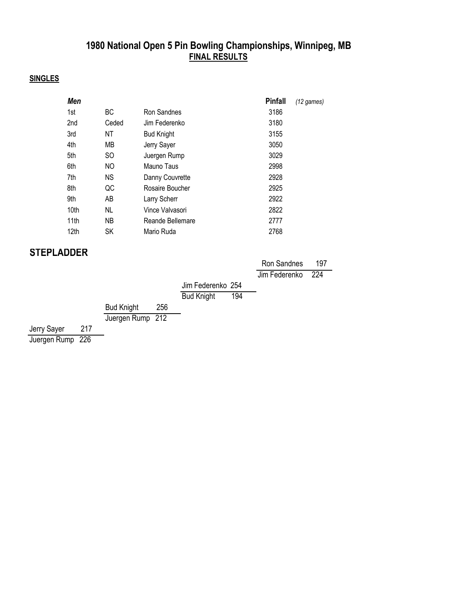### **1980 National Open 5 Pin Bowling Championships, Winnipeg, MB FINAL RESULTS**

#### **SINGLES**

| <b>Men</b>       |       |                   | <b>Pinfall</b> | $(12$ games) |
|------------------|-------|-------------------|----------------|--------------|
| 1st              | BC.   | Ron Sandnes       | 3186           |              |
| 2nd              | Ceded | Jim Federenko     | 3180           |              |
| 3rd              | ΝT    | <b>Bud Knight</b> | 3155           |              |
| 4th              | MВ    | Jerry Sayer       | 3050           |              |
| 5th              | SO.   | Juergen Rump      | 3029           |              |
| 6th              | NO    | Mauno Taus        | 2998           |              |
| 7th              | NS.   | Danny Couvrette   | 2928           |              |
| 8th              | QC    | Rosaire Boucher   | 2925           |              |
| 9th              | AB    | Larry Scherr      | 2922           |              |
| 10 <sub>th</sub> | NL    | Vince Valvasori   | 2822           |              |
| 11th             | NB.   | Reande Bellemare  | 2777           |              |
| 12 <sub>th</sub> | SK    | Mario Ruda        | 2768           |              |

### **STEPLADDER**

|             |     |                   |     |                   |     | Ron Sandnes       | 197 |
|-------------|-----|-------------------|-----|-------------------|-----|-------------------|-----|
|             |     |                   |     |                   |     | Jim Federenko 224 |     |
|             |     |                   |     | Jim Federenko 254 |     |                   |     |
|             |     |                   |     | <b>Bud Knight</b> | 194 |                   |     |
|             |     | <b>Bud Knight</b> | 256 |                   |     |                   |     |
|             |     | Juergen Rump 212  |     |                   |     |                   |     |
| Jerry Sayer | 217 |                   |     |                   |     |                   |     |

Juergen Rump 226

—<br>—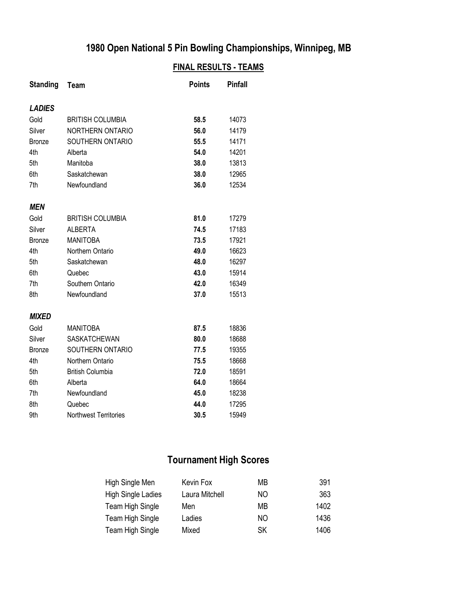# **1980 Open National 5 Pin Bowling Championships, Winnipeg, MB**

#### **FINAL RESULTS - TEAMS**

| <b>Standing</b> | <b>Team</b>                  | <b>Points</b> | <b>Pinfall</b> |
|-----------------|------------------------------|---------------|----------------|
| <b>LADIES</b>   |                              |               |                |
| Gold            | <b>BRITISH COLUMBIA</b>      | 58.5          | 14073          |
| Silver          | <b>NORTHERN ONTARIO</b>      | 56.0          | 14179          |
| <b>Bronze</b>   | SOUTHERN ONTARIO             | 55.5          | 14171          |
| 4th             | Alberta                      | 54.0          | 14201          |
| 5th             | Manitoba                     | 38.0          | 13813          |
| 6th             | Saskatchewan                 | 38.0          | 12965          |
| 7th             | Newfoundland                 | 36.0          | 12534          |
| <b>MEN</b>      |                              |               |                |
| Gold            | <b>BRITISH COLUMBIA</b>      | 81.0          | 17279          |
| Silver          | <b>ALBERTA</b>               | 74.5          | 17183          |
| <b>Bronze</b>   | <b>MANITOBA</b>              | 73.5          | 17921          |
| 4th             | Northern Ontario             | 49.0          | 16623          |
| 5th             | Saskatchewan                 | 48.0          | 16297          |
| 6th             | Quebec                       | 43.0          | 15914          |
| 7th             | Southern Ontario             | 42.0          | 16349          |
| 8th             | Newfoundland                 | 37.0          | 15513          |
| <b>MIXED</b>    |                              |               |                |
| Gold            | <b>MANITOBA</b>              | 87.5          | 18836          |
| Silver          | <b>SASKATCHEWAN</b>          | 80.0          | 18688          |
| <b>Bronze</b>   | SOUTHERN ONTARIO             | 77.5          | 19355          |
| 4th             | Northern Ontario             | 75.5          | 18668          |
| 5th             | <b>British Columbia</b>      | 72.0          | 18591          |
| 6th             | Alberta                      | 64.0          | 18664          |
| 7th             | Newfoundland                 | 45.0          | 18238          |
| 8th             | Quebec                       | 44.0          | 17295          |
| 9th             | <b>Northwest Territories</b> | 30.5          | 15949          |

# **Tournament High Scores**

| High Single Men           | Kevin Fox      | МB  | 391  |
|---------------------------|----------------|-----|------|
| <b>High Single Ladies</b> | Laura Mitchell | NO. | 363  |
| Team High Single          | Men            | MВ  | 1402 |
| Team High Single          | Ladies         | NO. | 1436 |
| Team High Single          | Mixed          | SΚ  | 1406 |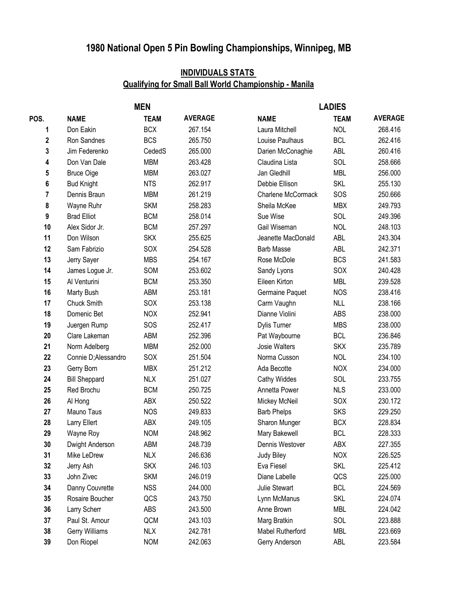# **1980 National Open 5 Pin Bowling Championships, Winnipeg, MB**

### **INDIVIDUALS STATS Qualifying for Small Ball World Championship - Manila**

|      |                      | <b>MEN</b>  |                | <b>LADIES</b>      |             |                |  |
|------|----------------------|-------------|----------------|--------------------|-------------|----------------|--|
| POS. | <b>NAME</b>          | <b>TEAM</b> | <b>AVERAGE</b> | <b>NAME</b>        | <b>TEAM</b> | <b>AVERAGE</b> |  |
| 1    | Don Eakin            | <b>BCX</b>  | 267.154        | Laura Mitchell     | <b>NOL</b>  | 268.416        |  |
| 2    | Ron Sandnes          | <b>BCS</b>  | 265.750        | Louise Paulhaus    | <b>BCL</b>  | 262.416        |  |
| 3    | Jim Federenko        | CededS      | 265.000        | Darien McConaghie  | ABL         | 260.416        |  |
| 4    | Don Van Dale         | <b>MBM</b>  | 263.428        | Claudina Lista     | SOL         | 258.666        |  |
| 5    | <b>Bruce Oige</b>    | <b>MBM</b>  | 263.027        | Jan Gledhill       | <b>MBL</b>  | 256.000        |  |
| 6    | <b>Bud Knight</b>    | <b>NTS</b>  | 262.917        | Debbie Ellison     | <b>SKL</b>  | 255.130        |  |
| 7    | Dennis Braun         | <b>MBM</b>  | 261.219        | Charlene McCormack | SOS         | 250.666        |  |
| 8    | Wayne Ruhr           | <b>SKM</b>  | 258.283        | Sheila McKee       | <b>MBX</b>  | 249.793        |  |
| 9    | <b>Brad Elliot</b>   | <b>BCM</b>  | 258.014        | Sue Wise           | SOL         | 249.396        |  |
| 10   | Alex Sidor Jr.       | <b>BCM</b>  | 257.297        | Gail Wiseman       | <b>NOL</b>  | 248.103        |  |
| 11   | Don Wilson           | <b>SKX</b>  | 255.625        | Jeanette MacDonald | ABL         | 243.304        |  |
| 12   | Sam Fabrizio         | SOX         | 254.528        | <b>Barb Masse</b>  | ABL         | 242.371        |  |
| 13   | Jerry Sayer          | <b>MBS</b>  | 254.167        | Rose McDole        | <b>BCS</b>  | 241.583        |  |
| 14   | James Logue Jr.      | SOM         | 253.602        | Sandy Lyons        | SOX         | 240.428        |  |
| 15   | Al Venturini         | <b>BCM</b>  | 253.350        | Eileen Kirton      | <b>MBL</b>  | 239.528        |  |
| 16   | Marty Bush           | ABM         | 253.181        | Germaine Paquet    | <b>NOS</b>  | 238.416        |  |
| 17   | Chuck Smith          | SOX         | 253.138        | Carm Vaughn        | <b>NLL</b>  | 238.166        |  |
| 18   | Domenic Bet          | <b>NOX</b>  | 252.941        | Dianne Violini     | <b>ABS</b>  | 238.000        |  |
| 19   | Juergen Rump         | SOS         | 252.417        | Dylis Turner       | <b>MBS</b>  | 238.000        |  |
| 20   | Clare Lakeman        | ABM         | 252.396        | Pat Waybourne      | <b>BCL</b>  | 236.846        |  |
| 21   | Norm Adelberg        | <b>MBM</b>  | 252.000        | Josie Walters      | <b>SKX</b>  | 235.789        |  |
| 22   | Connie D;Alessandro  | SOX         | 251.504        | Norma Cusson       | <b>NOL</b>  | 234.100        |  |
| 23   | Gerry Born           | <b>MBX</b>  | 251.212        | Ada Becotte        | <b>NOX</b>  | 234.000        |  |
| 24   | <b>Bill Sheppard</b> | <b>NLX</b>  | 251.027        | Cathy Widdes       | SOL         | 233.755        |  |
| 25   | Red Brochu           | <b>BCM</b>  | 250.725        | Annetta Power      | <b>NLS</b>  | 233.000        |  |
| 26   | Al Hong              | ABX         | 250.522        | Mickey McNeil      | SOX         | 230.172        |  |
| 27   | Mauno Taus           | <b>NOS</b>  | 249.833        | <b>Barb Phelps</b> | <b>SKS</b>  | 229.250        |  |
| 28   | Larry Ellert         | ABX         | 249.105        | Sharon Munger      | <b>BCX</b>  | 228.834        |  |
| 29   | Wayne Roy            | <b>NOM</b>  | 248.962        | Mary Bakewell      | <b>BCL</b>  | 228.333        |  |
| 30   | Dwight Anderson      | ABM         | 248.739        | Dennis Westover    | ABX         | 227.355        |  |
| 31   | Mike LeDrew          | <b>NLX</b>  | 246.636        | <b>Judy Biley</b>  | <b>NOX</b>  | 226.525        |  |
| 32   | Jerry Ash            | <b>SKX</b>  | 246.103        | Eva Fiesel         | <b>SKL</b>  | 225.412        |  |
| 33   | John Zivec           | <b>SKM</b>  | 246.019        | Diane Labelle      | QCS         | 225.000        |  |
| 34   | Danny Couvrette      | <b>NSS</b>  | 244.000        | Julie Stewart      | <b>BCL</b>  | 224.569        |  |
| 35   | Rosaire Boucher      | QCS         | 243.750        | Lynn McManus       | SKL         | 224.074        |  |
| 36   | Larry Scherr         | <b>ABS</b>  | 243.500        | Anne Brown         | <b>MBL</b>  | 224.042        |  |
| 37   | Paul St. Amour       | QCM         | 243.103        | Marg Bratkin       | SOL         | 223.888        |  |
| 38   | Gerry Williams       | <b>NLX</b>  | 242.781        | Mabel Rutherford   | <b>MBL</b>  | 223.669        |  |
| 39   | Don Riopel           | <b>NOM</b>  | 242.063        | Gerry Anderson     | ABL         | 223.584        |  |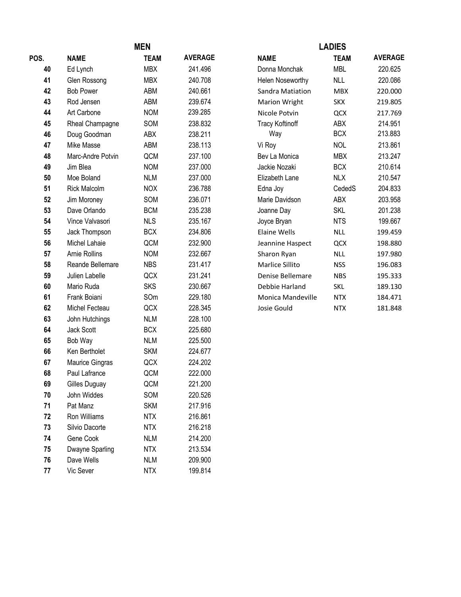| <b>MEN</b> |                      |             | <b>LADIES</b>  |                        |             |                |
|------------|----------------------|-------------|----------------|------------------------|-------------|----------------|
| POS.       | <b>NAME</b>          | <b>TEAM</b> | <b>AVERAGE</b> | <b>NAME</b>            | <b>TEAM</b> | <b>AVERAGE</b> |
| 40         | Ed Lynch             | <b>MBX</b>  | 241.496        | Donna Monchak          | <b>MBL</b>  | 220.625        |
| 41         | Glen Rossong         | <b>MBX</b>  | 240.708        | Helen Noseworthy       | <b>NLL</b>  | 220.086        |
| 42         | <b>Bob Power</b>     | ABM         | 240.661        | Sandra Matiation       | <b>MBX</b>  | 220.000        |
| 43         | Rod Jensen           | ABM         | 239.674        | <b>Marion Wright</b>   | <b>SKX</b>  | 219.805        |
| 44         | Art Carbone          | <b>NOM</b>  | 239.285        | Nicole Potvin          | QCX         | 217.769        |
| 45         | Rheal Champagne      | SOM         | 238.832        | <b>Tracy Koftinoff</b> | ABX         | 214.951        |
| 46         | Doug Goodman         | ABX         | 238.211        | Way                    | <b>BCX</b>  | 213.883        |
| 47         | Mike Masse           | ABM         | 238.113        | Vi Roy                 | <b>NOL</b>  | 213.861        |
| 48         | Marc-Andre Potvin    | QCM         | 237.100        | Bev La Monica          | <b>MBX</b>  | 213.247        |
| 49         | Jim Blea             | <b>NOM</b>  | 237.000        | Jackie Nozaki          | <b>BCX</b>  | 210.614        |
| 50         | Moe Boland           | <b>NLM</b>  | 237.000        | Elizabeth Lane         | <b>NLX</b>  | 210.547        |
| 51         | <b>Rick Malcolm</b>  | <b>NOX</b>  | 236.788        | Edna Joy               | CededS      | 204.833        |
| 52         | Jim Moroney          | SOM         | 236.071        | Marie Davidson         | ABX         | 203.958        |
| 53         | Dave Orlando         | <b>BCM</b>  | 235.238        | Joanne Day             | <b>SKL</b>  | 201.238        |
| 54         | Vince Valvasori      | <b>NLS</b>  | 235.167        | Joyce Bryan            | <b>NTS</b>  | 199.667        |
| 55         | Jack Thompson        | <b>BCX</b>  | 234.806        | <b>Elaine Wells</b>    | <b>NLL</b>  | 199.459        |
| 56         | Michel Lahaie        | QCM         | 232.900        | Jeannine Haspect       | QCX         | 198.880        |
| 57         | <b>Arnie Rollins</b> | <b>NOM</b>  | 232.667        | Sharon Ryan            | <b>NLL</b>  | 197.980        |
| 58         | Reande Bellemare     | <b>NBS</b>  | 231.417        | Marlice Sillito        | <b>NSS</b>  | 196.083        |
| 59         | Julien Labelle       | QCX         | 231.241        | Denise Bellemare       | <b>NBS</b>  | 195.333        |
| 60         | Mario Ruda           | <b>SKS</b>  | 230.667        | Debbie Harland         | SKL         | 189.130        |
| 61         | Frank Boiani         | SOm         | 229.180        | Monica Mandeville      | <b>NTX</b>  | 184.471        |
| 62         | Michel Fecteau       | QCX         | 228.345        | Josie Gould            | <b>NTX</b>  | 181.848        |
| 63         | John Hutchings       | <b>NLM</b>  | 228.100        |                        |             |                |
| 64         | Jack Scott           | <b>BCX</b>  | 225.680        |                        |             |                |
| 65         | Bob Way              | <b>NLM</b>  | 225.500        |                        |             |                |
| 66         | Ken Bertholet        | <b>SKM</b>  | 224.677        |                        |             |                |
| 67         | Maurice Gingras      | QCX         | 224.202        |                        |             |                |
| 68         | Paul Lafrance        | QCM         | 222.000        |                        |             |                |
| 69         | Gilles Duguay        | QCM         | 221.200        |                        |             |                |
| 70         | John Widdes          | SOM         | 220.526        |                        |             |                |
| 71         | Pat Manz             | <b>SKM</b>  | 217.916        |                        |             |                |
| 72         | Ron Williams         | <b>NTX</b>  | 216.861        |                        |             |                |
| 73         | Silvio Dacorte       | <b>NTX</b>  | 216.218        |                        |             |                |
| 74         | Gene Cook            | <b>NLM</b>  | 214.200        |                        |             |                |
| 75         | Dwayne Sparling      | <b>NTX</b>  | 213.534        |                        |             |                |
| 76         | Dave Wells           | <b>NLM</b>  | 209.900        |                        |             |                |
| 77         | Vic Sever            | <b>NTX</b>  | 199.814        |                        |             |                |